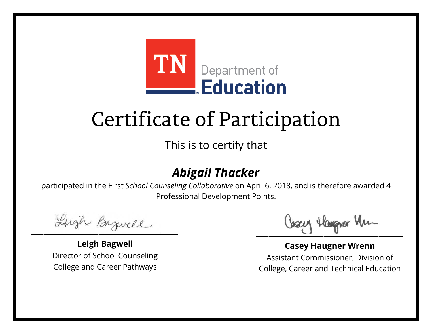

This is to certify that

### *Abigail Thacker*

Lugh Bazwell

**Leigh Bagwell** Director of School Counseling College and Career Pathways

Cosey Hangra Vm

**Casey Haugner Wrenn** Assistant Commissioner, Division of College, Career and Technical Education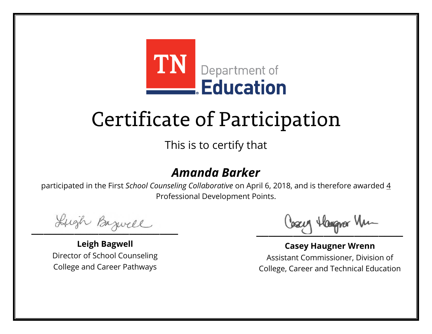

This is to certify that

### *Amanda Barker*

Lugh Bazwell

**Leigh Bagwell** Director of School Counseling College and Career Pathways

Losey Hangra Vm

**Casey Haugner Wrenn** Assistant Commissioner, Division of College, Career and Technical Education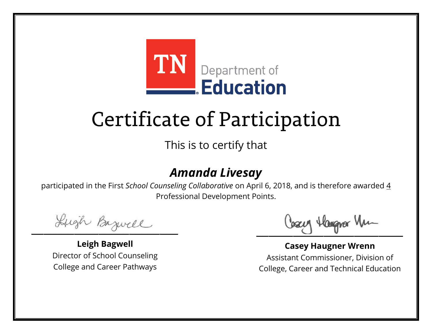

This is to certify that

### *Amanda Livesay*

Lugh Bazwell

**Leigh Bagwell** Director of School Counseling College and Career Pathways

Losey Hangra Vm

**Casey Haugner Wrenn** Assistant Commissioner, Division of College, Career and Technical Education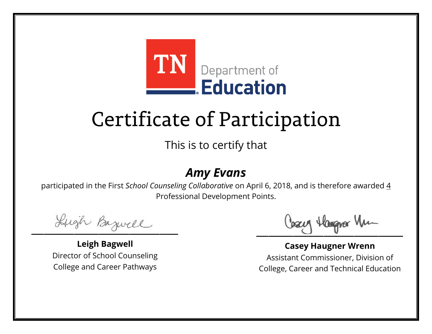

This is to certify that

#### *Amy Evans*

Lugh Bazwell

**Leigh Bagwell** Director of School Counseling College and Career Pathways

Cosey Hangra Vm

**Casey Haugner Wrenn** Assistant Commissioner, Division of College, Career and Technical Education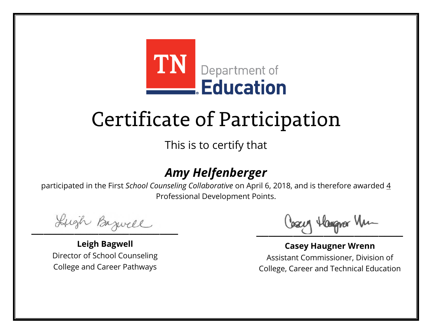

This is to certify that

### *Amy Helfenberger*

Lugh Bazwell

**Leigh Bagwell** Director of School Counseling College and Career Pathways

Losey Hangra Vm

**Casey Haugner Wrenn** Assistant Commissioner, Division of College, Career and Technical Education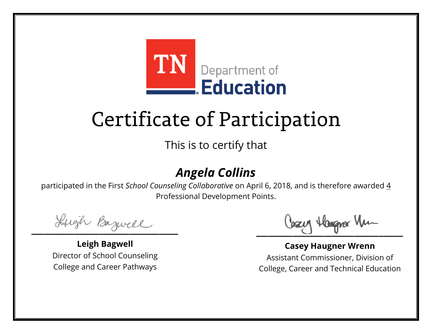

This is to certify that

### *Angela Collins*

Lugh Bazwell

**Leigh Bagwell** Director of School Counseling College and Career Pathways

Cosey Hangra Vm

**Casey Haugner Wrenn** Assistant Commissioner, Division of College, Career and Technical Education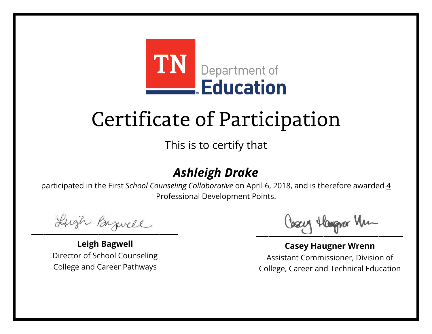

This is to certify that

### *Ashleigh Drake*

Lugh Bazwell

**Leigh Bagwell** Director of School Counseling College and Career Pathways

Cosey Hangra Vm

**Casey Haugner Wrenn** Assistant Commissioner, Division of College, Career and Technical Education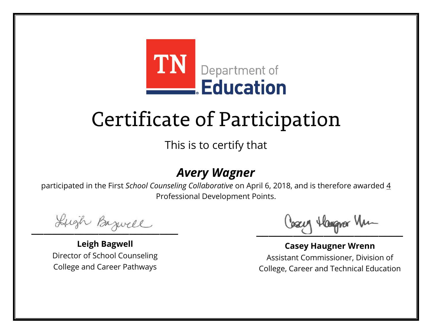

This is to certify that

### *Avery Wagner*

Lugh Bazwell

**Leigh Bagwell** Director of School Counseling College and Career Pathways

Cosey Hangra Vm

**Casey Haugner Wrenn** Assistant Commissioner, Division of College, Career and Technical Education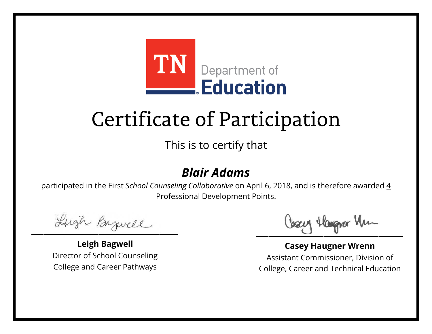

This is to certify that

### *Blair Adams*

Lugh Bazwell

**Leigh Bagwell** Director of School Counseling College and Career Pathways

Cosey Hangra Vm

**Casey Haugner Wrenn** Assistant Commissioner, Division of College, Career and Technical Education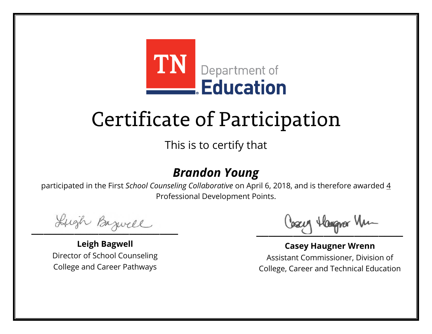

This is to certify that

### *Brandon Young*

Lugh Bazwell

**Leigh Bagwell** Director of School Counseling College and Career Pathways

Losey Hangra Vm

**Casey Haugner Wrenn** Assistant Commissioner, Division of College, Career and Technical Education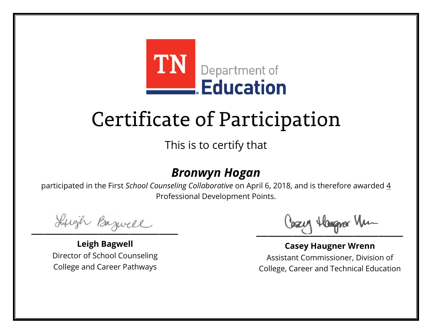

This is to certify that

#### *Bronwyn Hogan*

Lugh Bazwell

**Leigh Bagwell** Director of School Counseling College and Career Pathways

Cosey Hangra Vm

**Casey Haugner Wrenn** Assistant Commissioner, Division of College, Career and Technical Education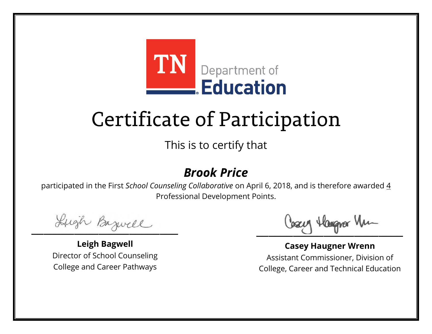

This is to certify that

#### *Brook Price*

Lugh Bazwell

**Leigh Bagwell** Director of School Counseling College and Career Pathways

Cosey Hangra Vm

**Casey Haugner Wrenn** Assistant Commissioner, Division of College, Career and Technical Education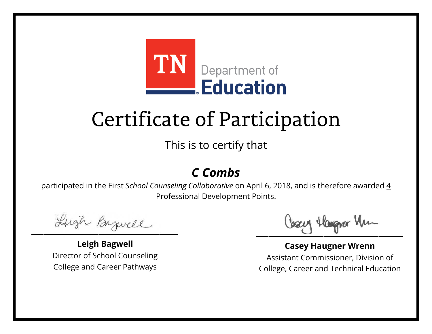

This is to certify that

### *C Combs*

Lugh Bazwell

**Leigh Bagwell** Director of School Counseling College and Career Pathways

Cosey Hangra Vm

**Casey Haugner Wrenn** Assistant Commissioner, Division of College, Career and Technical Education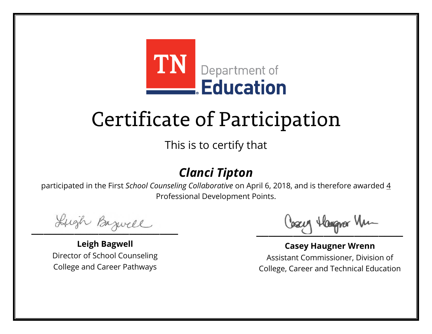

This is to certify that

### *Clanci Tipton*

Lugh Bazwell

**Leigh Bagwell** Director of School Counseling College and Career Pathways

Cosey Hangra Vm

**Casey Haugner Wrenn** Assistant Commissioner, Division of College, Career and Technical Education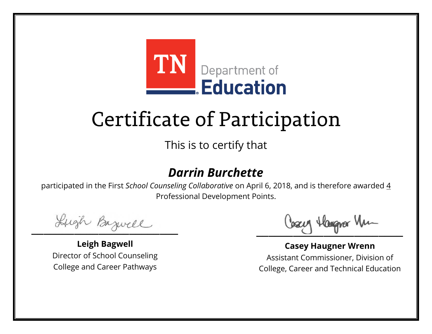

This is to certify that

### *Darrin Burchette*

Lugh Bazwell

**Leigh Bagwell** Director of School Counseling College and Career Pathways

Losey Hangra Vm

**Casey Haugner Wrenn** Assistant Commissioner, Division of College, Career and Technical Education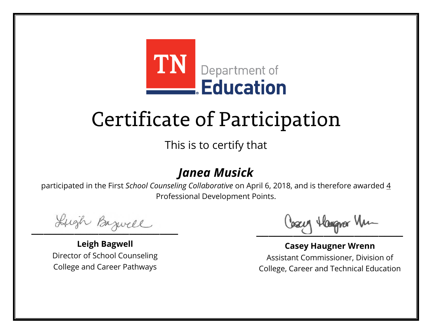

This is to certify that

### *Janea Musick*

Lugh Bazwell

**Leigh Bagwell** Director of School Counseling College and Career Pathways

Cosey Hangra Vm

**Casey Haugner Wrenn** Assistant Commissioner, Division of College, Career and Technical Education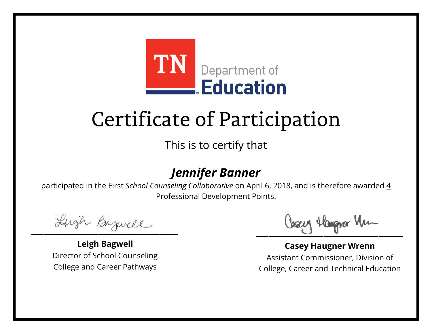

This is to certify that

### *Jennifer Banner*

Lugh Bazwell

**Leigh Bagwell** Director of School Counseling College and Career Pathways

Cosey Hangra Vm

**Casey Haugner Wrenn** Assistant Commissioner, Division of College, Career and Technical Education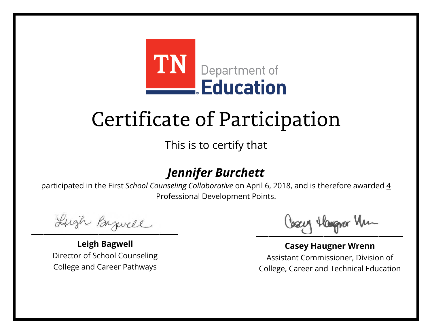

This is to certify that

### *Jennifer Burchett*

Lugh Bazwell

**Leigh Bagwell** Director of School Counseling College and Career Pathways

Losey Hangra Vm

**Casey Haugner Wrenn** Assistant Commissioner, Division of College, Career and Technical Education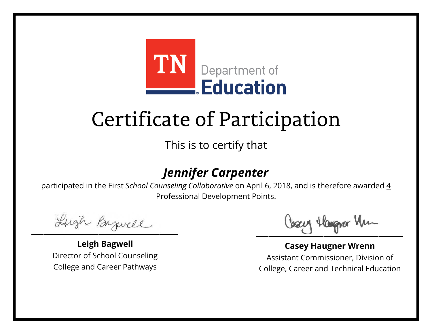

This is to certify that

### *Jennifer Carpenter*

Lugh Bazwell

**Leigh Bagwell** Director of School Counseling College and Career Pathways

Losey Hangra Vm

**Casey Haugner Wrenn** Assistant Commissioner, Division of College, Career and Technical Education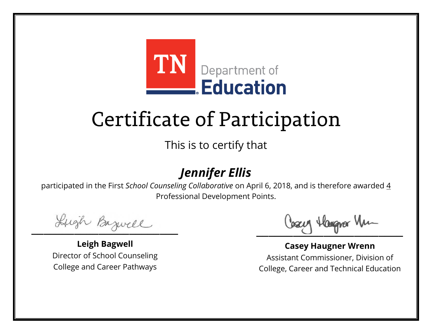

This is to certify that

### *Jennifer Ellis*

Lugh Bazwell

**Leigh Bagwell** Director of School Counseling College and Career Pathways

Cosey Hangra Vm

**Casey Haugner Wrenn** Assistant Commissioner, Division of College, Career and Technical Education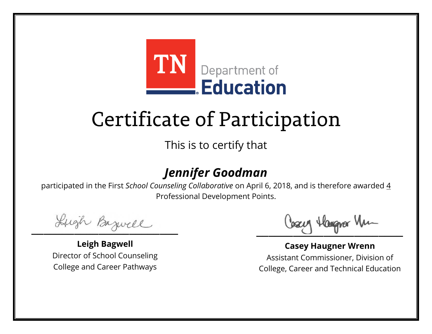

This is to certify that

### *Jennifer Goodman*

Lugh Bazwell

**Leigh Bagwell** Director of School Counseling College and Career Pathways

Losey Hangra Vm

**Casey Haugner Wrenn** Assistant Commissioner, Division of College, Career and Technical Education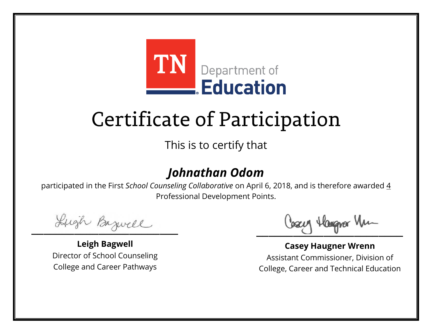

This is to certify that

### *Johnathan Odom*

Lugh Bazwell

**Leigh Bagwell** Director of School Counseling College and Career Pathways

Losey Hangra Vm

**Casey Haugner Wrenn** Assistant Commissioner, Division of College, Career and Technical Education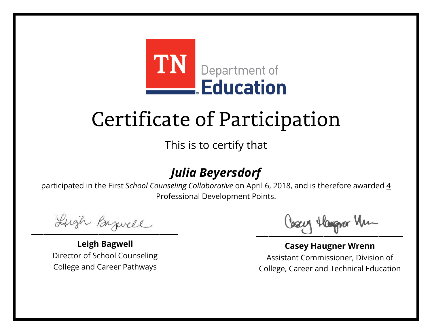

This is to certify that

### *Julia Beyersdorf*

Lugh Bazwell

**Leigh Bagwell** Director of School Counseling College and Career Pathways

Cosey Hangra Vm

**Casey Haugner Wrenn** Assistant Commissioner, Division of College, Career and Technical Education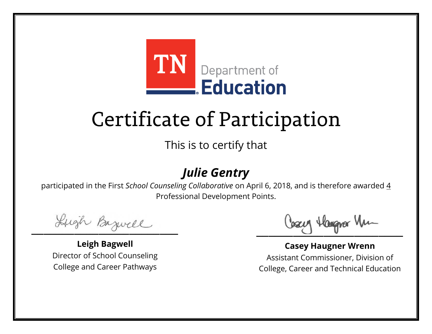

This is to certify that

### *Julie Gentry*

Lugh Bazwell

**Leigh Bagwell** Director of School Counseling College and Career Pathways

Cosey Hangra Vm

**Casey Haugner Wrenn** Assistant Commissioner, Division of College, Career and Technical Education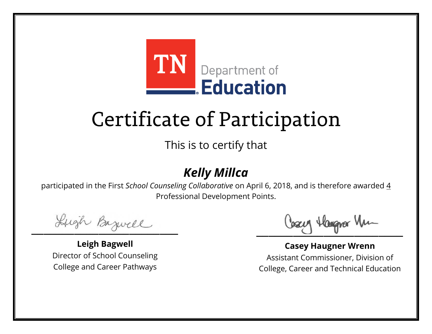

This is to certify that

### *Kelly Millca*

Lugh Bazwell

**Leigh Bagwell** Director of School Counseling College and Career Pathways

Cosey Hangra Vm

**Casey Haugner Wrenn** Assistant Commissioner, Division of College, Career and Technical Education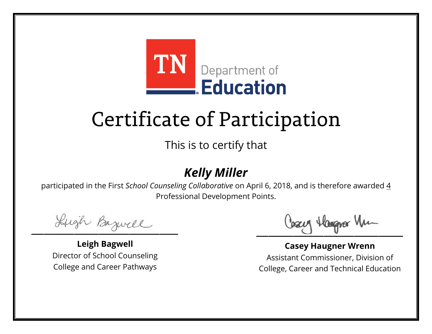

This is to certify that

### *Kelly Miller*

Lugh Bazwell

**Leigh Bagwell** Director of School Counseling College and Career Pathways

Cosey Hangra Vm

**Casey Haugner Wrenn** Assistant Commissioner, Division of College, Career and Technical Education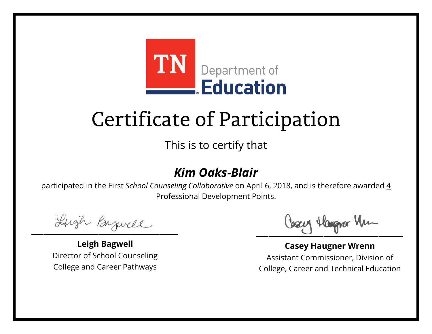

This is to certify that

### *Kim Oaks-Blair*

Lugh Bazwell

**Leigh Bagwell** Director of School Counseling College and Career Pathways

Cosey Hangra Vm

**Casey Haugner Wrenn** Assistant Commissioner, Division of College, Career and Technical Education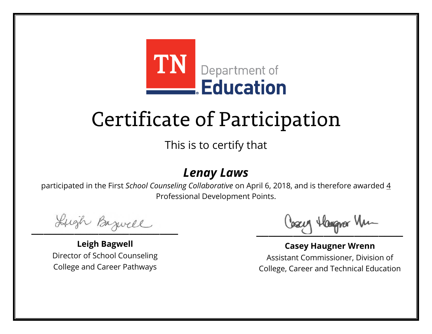

This is to certify that

#### *Lenay Laws*

Lugh Bazwell

**Leigh Bagwell** Director of School Counseling College and Career Pathways

Cosey Hangra Vm

**Casey Haugner Wrenn** Assistant Commissioner, Division of College, Career and Technical Education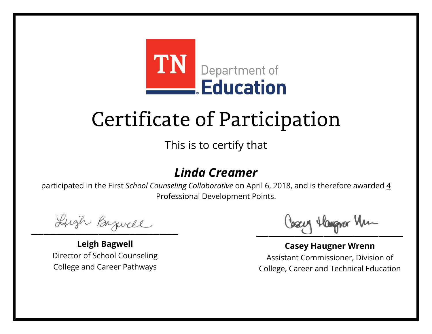

This is to certify that

### *Linda Creamer*

Lugh Bazwell

**Leigh Bagwell** Director of School Counseling College and Career Pathways

Losey Hangra Vm

**Casey Haugner Wrenn** Assistant Commissioner, Division of College, Career and Technical Education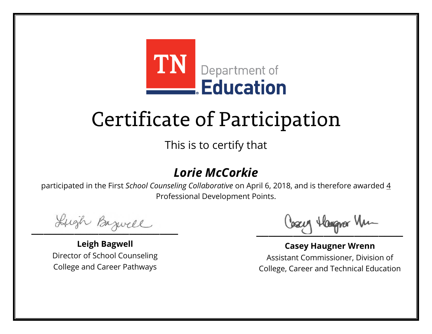

This is to certify that

### *Lorie McCorkie*

Lugh Bazwell

**Leigh Bagwell** Director of School Counseling College and Career Pathways

Losey Hangra Vm

**Casey Haugner Wrenn** Assistant Commissioner, Division of College, Career and Technical Education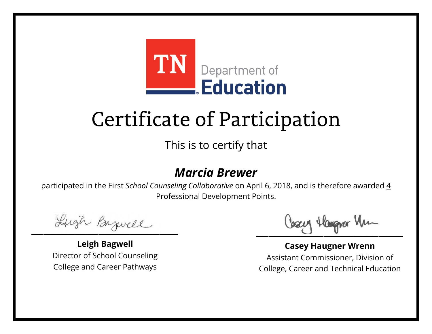

This is to certify that

#### *Marcia Brewer*

Lugh Bazwell

**Leigh Bagwell** Director of School Counseling College and Career Pathways

Cosey Hangra Vm

**Casey Haugner Wrenn** Assistant Commissioner, Division of College, Career and Technical Education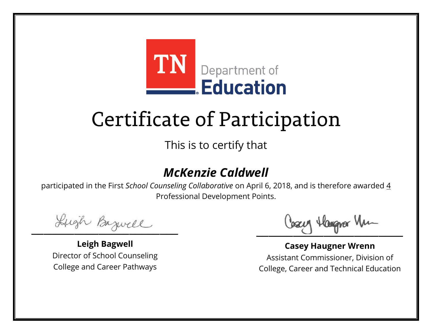

This is to certify that

### *McKenzie Caldwell*

Lugh Bazwell

**Leigh Bagwell** Director of School Counseling College and Career Pathways

Losey Hangra Vm

**Casey Haugner Wrenn** Assistant Commissioner, Division of College, Career and Technical Education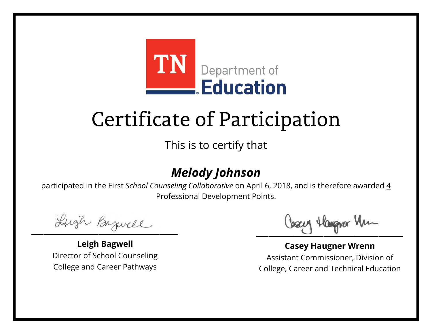

This is to certify that

### *Melody Johnson*

Lugh Bazwell

**Leigh Bagwell** Director of School Counseling College and Career Pathways

Cosey Hangra Vm

**Casey Haugner Wrenn** Assistant Commissioner, Division of College, Career and Technical Education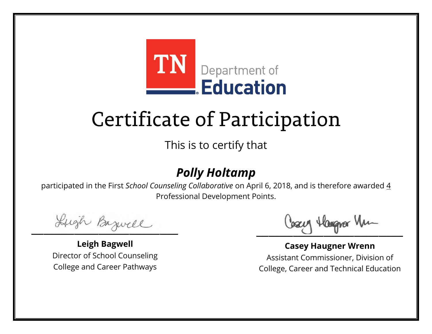

This is to certify that

### *Polly Holtamp*

Lugh Bazwell

**Leigh Bagwell** Director of School Counseling College and Career Pathways

Cosey Hangra Vm

**Casey Haugner Wrenn** Assistant Commissioner, Division of College, Career and Technical Education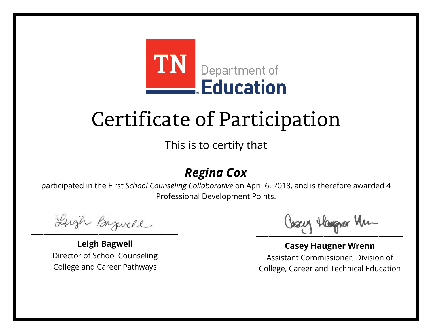

This is to certify that

### *Regina Cox*

Lugh Bazwell

**Leigh Bagwell** Director of School Counseling College and Career Pathways

Cosey Hangra Vm

**Casey Haugner Wrenn** Assistant Commissioner, Division of College, Career and Technical Education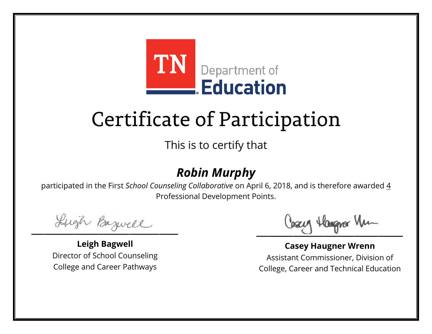

This is to certify that

### *Robin Murphy*

Lugh Bazwell

**Leigh Bagwell** Director of School Counseling College and Career Pathways

Cosey Hangra Vm

**Casey Haugner Wrenn** Assistant Commissioner, Division of College, Career and Technical Education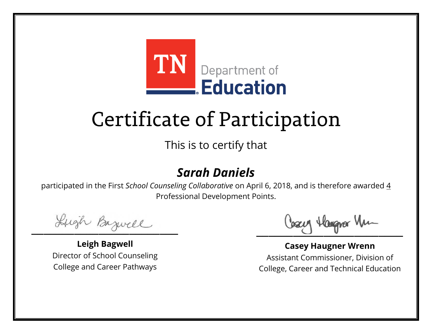

This is to certify that

### *Sarah Daniels*

Lugh Bazwell

**Leigh Bagwell** Director of School Counseling College and Career Pathways

Cosey Hangra Vm

**Casey Haugner Wrenn** Assistant Commissioner, Division of College, Career and Technical Education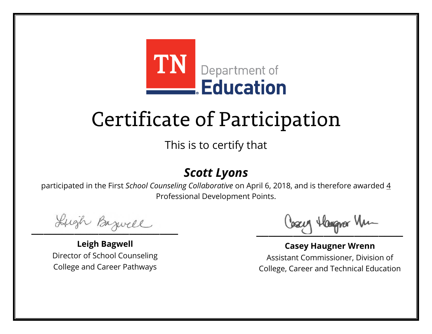

This is to certify that

### *Scott Lyons*

Lugh Bazwell

**Leigh Bagwell** Director of School Counseling College and Career Pathways

Cosey Hangra Vm

**Casey Haugner Wrenn** Assistant Commissioner, Division of College, Career and Technical Education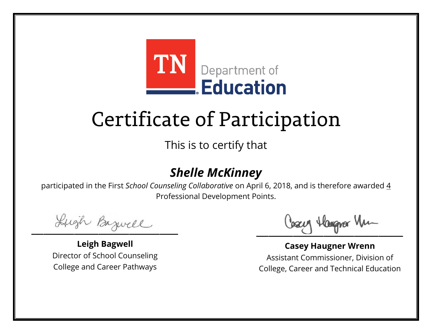

This is to certify that

### *Shelle McKinney*

Lugh Bazwell

**Leigh Bagwell** Director of School Counseling College and Career Pathways

Losey Hangra Vm

**Casey Haugner Wrenn** Assistant Commissioner, Division of College, Career and Technical Education